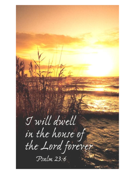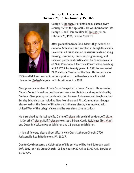#### George H. Treisner, Jr. February 26, 1936– January 15, 2022



George H. Treisner, Jr of Bethlehem, passed away January 15<sup>th</sup> at the age of 85. He was born to the late George H. and Florence (Reade) Treisner Sr. on February 26, 1936, in New York City.

After graduation from John Adams High School, he came to Bethlehem and enrolled at Lehigh University. He continued his education in various fields including banking, insurance, computer programming, and received permanent certification by Commonwealth of PA in Vocational II Electrical Construction, teaching at B.A.V.T.S. for twenty years. In 1991 he was voted PA Vocational Teacher of the Year. He was active in

PSEA and NEA and served in various positions. He then became a financial planner for Kades-Margolis until his retirement in 2019.

George was a member of Holy Cross Evangelical Lutheran Church. He served on Church Council in various positions and was a Youth Advisor along with his wife, Darlene. George sang on the church choir for over forty years and taught various Sunday School classes including New Members and First Communion. George also served on the Board of Directors at Lutheran Manor, was involved with United Way of the Lehigh Valley, and he was also active in politics.

He is survived by his loving wife, Darlene Treisner; three children George Treisner III, Dorothy Treisner, Rolf Treisner; two stepchildren, Curtis Steidinger (TerryAnn), and Dawn Mickelson; 9 grandchildren and 12 great grandchildren.

In lieu of flowers, please direct gifts to Holy Cross Lutheran Church; 2700 Jacksonville Road; Bethlehem, PA 18017.

Due to Covid concerns, a Celebration of Life service will be held Saturday, April 30<sup>th</sup>, 2022, at Holy Cross Church. Calling hours 9:30 AM to 11:00 AM. Service at 11:00 AM.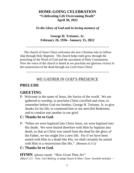## **HOMEGOING CELEBRATION "Celebrating Life Overcoming Death" April 30, 2022**

*To the Glory of God and in loving memory of*

**George H. Treisner, Jr. February 26, 1936– January 15, 2022**

**……………………………………….…………………………….**

The church of Jesus Christ welcomes the new Christian into its fellowship through Holy Baptism. The church helps faith grow through the preaching of the Word of God and the sacrament of Holy Communion. Now the voice of the church is heard as we proclaim our glorious victory in the resurrection of the dead through our Lord Jesus Christ.

**……………………………………………………………………..**

## WE GATHER IN GOD'S PRESENCE

# **PRELUDE**

## **GREETING**

P: Welcome in the name of Jesus, the Savior of the world. We are gathered to worship, to proclaim Christ crucified and risen, to remember before God our brother, George H. Treisner, Jr, to give thanks for his life, to commend him to our merciful Redeemer, and to comfort one another in our grief.

## **C: Thanks be to God.**

- P: "When we were baptized into Christ Jesus, we were baptized into His death. We were buried therefore with Him by baptism into death, so that as Christ was raised from the dead by the glory of the Father, we too might live a new life. For if we have been united with Him in a death like His, we shall certainly be united with Him in a resurrection like His." *(Romans 6:35)*
- **C: Thanks be to God.**

**HYMN** *(please stand) "How Great Thou Art" (Maj # 111 Text: Carl Boberg, tr/adapt Stuart K Hine; Tune: Swedish melody) →*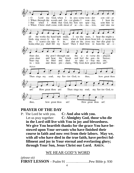| my God, when I in awe-some won-der<br>con - sid - er<br>1 O<br>Lord<br>2 When through the woods and for - est glades I<br>wan - der,<br>I hear the<br>when<br>think that God, his Son not<br>3 But<br>$\mathbf{I}$<br>spar - $ing$ ,<br>sent him to<br>4 When Christ shall come, with shout of ac - cla - ma - tion,<br>and take me    |
|----------------------------------------------------------------------------------------------------------------------------------------------------------------------------------------------------------------------------------------------------------------------------------------------------------------------------------------|
| made, I see the stars, I hear the might-y<br>the works thy hand hath<br>all<br>birds sing sweet-ly in<br>when I look down from loft - y moun-tain<br>the<br>trees;<br>that on the cross my bur-den glad-ly<br>I scarce can take<br>it<br>die.<br>in.<br>home, what joy shall fill<br>heart! Then I shall bow in hum-ble ad - o -<br>my |
| thun - der,<br>thy pow'r through-out<br>u - ni - verse dis - played;<br>the<br>and feel the gen - tle<br>gran - deur<br>and hear<br>brook<br>the<br>breeze;<br>bled<br>died<br>a - way my<br>bear - ing<br>he<br>and<br>to<br>take<br>sin:<br>"My God, how great thou<br>$ra - tion$<br>and there<br>pro - claim,<br>art!"             |
| Refrain<br>Then sings my soul, my Sav-ior God, to<br>thee,<br>how great thou                                                                                                                                                                                                                                                           |
| art!<br>How great thou art!<br>Then sings my soul, my Sav-ior God, to                                                                                                                                                                                                                                                                  |
| how great thou<br>How great thou<br>thee,<br>art!<br>art!                                                                                                                                                                                                                                                                              |

## **PRAYER OF THE DAY**

P: The Lord be with you. **C: And also with you.** Let us pray together: **C: Almighty God, those who die in the Lord still live with You in joy and blessedness. We give You heartfelt thanks for the grace You have bestowed upon Your servants who have finished their course in faith and now rest from their labors. May we, with all who have died in the true faith, have perfect fulfillment and joy in Your eternal and everlasting glory; through Your Son, Jesus Christ our Lord. AMEN.**

## WE HEAR GOD'S WORD

*(please sit)*

**FIRST LESSON** – Psalm 91 ………..……….Pew Bible p. 930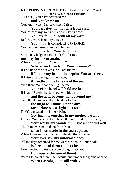**RESPONSIVE READING....Psalm 139:1-18, 23-24** *(congregation reads indented)* O LORD, You have searched me **and You know me.** You know when I sit and when I rise; **You perceive my thoughts from afar.** You discern my going out and my lying down; **You are familiar with all my ways.** Before a word is on my tongue **You know it completely, O LORD.** You hem me in—behind and before; **You have laid Your hand upon me.** Such knowledge is too wonderful for me, **too lofty for me to attain.** Where can I go from Your Spirit? **Where can I flee from Your presence?** If I go up to the heavens, You are there; **if I make my bed in the depths, You are there.** If I rise on the wings of the dawn, **if I settle on the far side of the sea,** even there Your hand will guide me, **Your right hand will hold me fast.** If I say, "Surely the darkness will hide me **and the light become night around me,"** even the darkness will not be dark to You; **the night will shine like the day, for darkness is as light to You.** For You created my inmost being; **You knit me together in my mother's womb.** I praise You because I am fearfully and wonderfully made; **Your works are wonderful, I know that full well.** My frame was not hidden from You **when I was made in the secret place.** When I was woven together in the depths of the earth, **Your eyes saw my unformed body.** All the days ordained for me were written in Your book **before one of them came to be.** How precious to me are Your thoughts, O God! **How vast is the sum of them!** Were I to count them, they would outnumber the grains of sand. **When I awake, I am still with You.**

5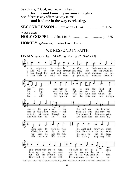Search me, O God, and know my heart;

**test me and know my anxious thoughts.**

See if there is any offensive way in me,

#### **and lead me in the way everlasting.**

**SECOND LESSON** – Revelation 21:1-4……………...p. 1757

*(please stand)*

**HOLY GOSPEL** – John 14:1-6………………………….. p. 1675

**HOMILY** *(please sit)* Pastor David Brown

#### WE RESPOND IN FAITH

**HYMN** *(please rise) "A Mighty Fortress" (Maj # 13)*



Text: Martin Luther, 1483-1546; tr. Frederick H. Hedge, 1805-1890 Music: EIN FESTE BURG, Martin Luther, 1483-1546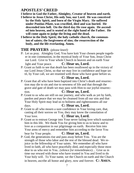### **APOSTLES' CREED**

**I believe in God the Father, Almighty, Creator of heaven and earth.**

- **I believe in Jesus Christ, His only Son, our Lord. He was conceived by the Holy Spirit, and born of the Virgin Mary. He suffered under Pontius Pilate, was crucified, died and was buried. He descended into hell. On the third day He rose again. He ascended into heaven, and is seated at the right hand of the Father. He will come again to judge the living and the dead.**
- **I believe in the Holy Spirit; the holy catholic church, the communion of saints; the forgiveness of sins; the resurrection of the body, and the life everlasting. Amen.**

## **THE PRAYERS** *(please kneel)*

- P: Let us pray. Almighty God, You have knit Your chosen people together in one communion, in the mystical body of Your Son, Jesus Christ our Lord. Give to Your whole Church in heaven and on earth Your light and Your peace. **C: Hear us, Lord.**
- P: Grant us faith to see that death has been swallowed up in the victory of our Lord Jesus Christ, so that we may live in confidence and hope until, by Your call, we are reunited with those who have gone before us.

#### **C: Hear us, Lord.**

- P: Grant that all who have been baptized into Christ's death and resurrection may die to sin and rise to newness of life and that through the grave and gate of death we may pass with Him to our joyful resurrection. **C: Hear us, Lord.**
- P: Grant to us who are still on our journey, and who walk as yet by faith, pardon and peace that we may be cleansed from all our sins and that Your Holy Spirit may lead us to holiness and righteousness all our days. **C: Hear us, Lord.**
- P: Grant to all who mourn a sure confidence in Your loving care, that, casting all their sorrow on You, they may know the consolation of Your love. **C: Hear us, Lord.**
- P: Grant us to entrust George into Your never failing love which sustained him in this life. We thank You for giving him to us to know and to love as a companion in our pilgrimage on earth. Receive him into Your arms of mercy and remember him according to the favor You bear for Your people. **C: Hear us, Lord.**

P: God, the generations rise and pass away before You. You are the strength of those who labor and the rest of the blessed dead. We rejoice in the fellowship of Your saints. We remember all who have lived in faith, all who have peacefully died, and especially those most dear to us who rest in You.. *(silence for remembrance)…* Give us in time our reward with those who have trusted in You and lived to do Your holy will. To Your name, we the Church on earth and the Church in heaven, ascribe all honor and glory, now and forever. **C: AMEN.**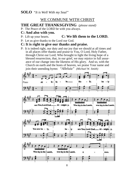**SOLO** *"It is Well With my Soul"*

## WE COMMUNE WITH CHRIST

## **THE GREAT THANKSGIVING** *(please stand)*

P: The Peace of the LORD be with you always.

#### **C: And also with you.**

- P: Lift up your hearts. **C: We lift them to the LORD.**
- P: Let us give thanks to the Lord our God.

#### **C: It is right to give our thanks and praise.**

P: It is indeed right, our duty and our joy that we should at all times and in all places offer thanks and praise to You, O Lord, Holy Father, through Christ our Lord; Who brought to light the living hope of a blessed resurrection, that, in our grief, we may rejoice in full assurance of our change into the likeness of His glory. And so, with the Church on earth and the hosts of heaven, we praise Your name and join their unending hymn: *"Alleluia" (Michael W. Smith)*

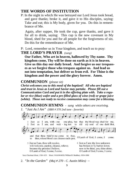# **THE WORDS OF INSTITUTION**

P: In the night in which He was betrayed our Lord Jesus took bread, and gave thanks; broke it, and gave it to His disciples, saying: Take and eat; this is My body, given for you. Do this in remembrance of Me.

Again, after supper, He took the cup, gave thanks, and gave it for all to drink, saying: This cup is the new covenant in My blood, shed for you and for all people for the forgiveness of sin. Do this for the remembrance of Me.

P: Lord, remember us in Your kingdom, and teach us to pray:

### **THE LORD'S PRAYER** *(sung)*

**Our Father, Who art in heaven, hallowed by Thy name. Thy kingdom come, Thy will be done on earth as it is in heaven. Give us this day our daily bread. And forgive us our trespasses as we forgive those who trespass against us. And lead us not into temptation, but deliver us from evil. For Thine is the kingdom and the power and the glory forever. Amen.**

## **COMMUNION** *(please sit)*

*Christ welcomes you to this meal of the baptized! All who are baptized and trust in Jesus as Lord and Savior may partake. Please fill out a Communication Card and put it in the offering plate with. Take a regular or rice (blue) wafer and a pre-filled glass of wine (red) or grape juice (white). Those not ready to receive communion may come for a blessing.*

**COMMUNION HYMNS** *sung while others are receiving.*



Text: Charlotte Elliott, 1789-1871 Music: WOODWORTH, William B. Bradbury, 1816-1868

2. *"In the Garden" (Maj # 270 C. Austin Miles) →*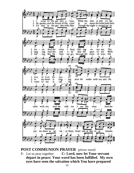

## **POST COMMUNION PRAYER** *(please stand)*

P: Let us pray together: **C: Lord, now let Your servant depart in peace: Your word has been fulfilled. My own eyes have seen the salvation which You have prepared**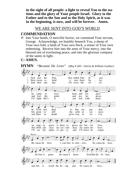**in the sight of all people: a light to reveal You to the nations and the glory of Your people Israel. Glory to the Father and to the Son and to the Holy Spirit, as it was in the beginning, is now, and will be forever. Amen.**

## WE ARE SENT INTO GOD'S WORLD

## **COMMENDATION**

P: Into Your hands, O merciful Savior, we commend Your servant, George. Acknowledge, we humbly beseech You, a sheep of Your own fold, a lamb of Your own flock, a sinner of Your own redeeming. Receive him into the arms of Your mercy, into the blessed rest of everlasting peace, and into the glorious company of the saints in light.

#### **C: AMEN.**

**HYMN** *"Because He Lives" (Maj # 260 Gloria & William Gaither)*